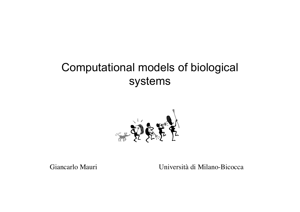# Computational models of biological systems



Giancarlo Mauri Università di Milano-Bicocca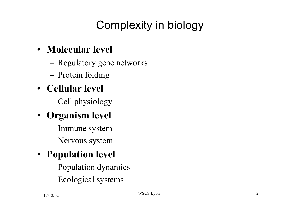# Complexity in biology

#### • **Molecular level**

- Regulatory gene networks
- Protein folding
- **Cellular level**
	- Cell physiology
- **Organism level**
	- Immune system
	- Nervous system
- **Population level**
	- Population dynamics
	- Ecological systems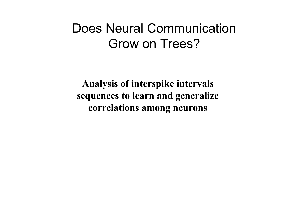# Does Neural Communication Grow on Trees?

**Analysis of interspike intervals sequences to learn and generalize correlations among neurons**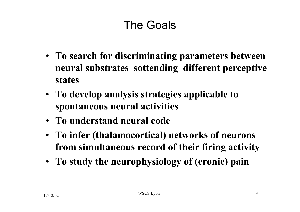# The Goals

- **To search for discriminating parameters between neural substrates sottending different perceptive states**
- **To develop analysis strategies applicable to spontaneous neural activities**
- **To understand neural code**
- **To infer (thalamocortical) networks of neurons from simultaneous record of their firing activity**
- **To study the neurophysiology of (cronic) pain**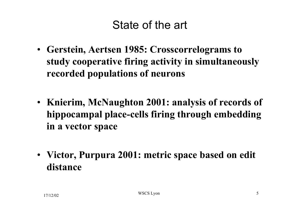# State of the art

- **Gerstein, Aertsen 1985: Crosscorrelograms to study cooperative firing activity in simultaneously recorded populations of neurons**
- **Knierim, McNaughton 2001: analysis of records of hippocampal place-cells firing through embedding in a vector space**
- **Victor, Purpura 2001: metric space based on edit distance**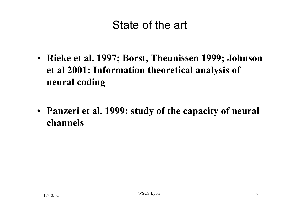# State of the art

- **Rieke et al. 1997; Borst, Theunissen 1999; Johnson et al 2001: Information theoretical analysis of neural coding**
- **Panzeri et al. 1999: study of the capacity of neural channels**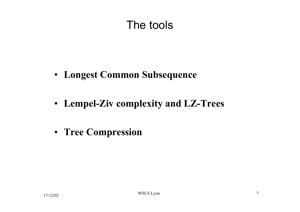# The tools

- **Longest Common Subsequence**
- **Lempel-Ziv complexity and LZ-Trees**
- **Tree Compression**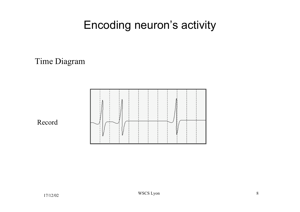#### Time Diagram



#### Record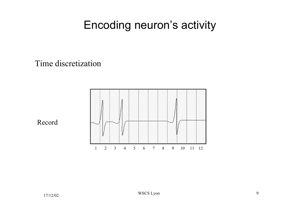Time discretization



Record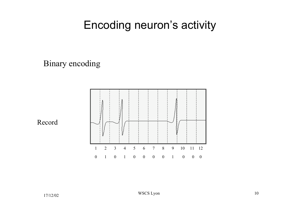Binary encoding



Record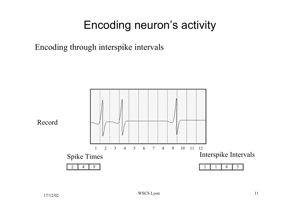Encoding through interspike intervals

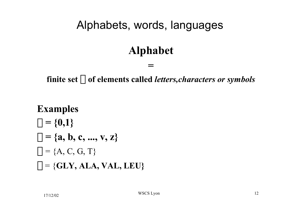### **Alphabet**

#### finite set  $\Sigma$  of elements called *letters, characters or symbols*

**=**

**Examples**  $\Sigma = \{0,1\}$  $\Sigma = \{a, b, c, ..., v, z\}$  $\Sigma = \{A, C, G, T\}$  $\Sigma = \{GLY, ALA, VAL, LEU\}$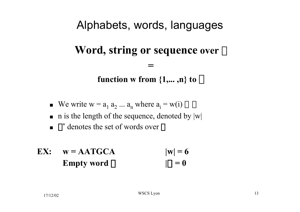#### **Word, string or sequence over**  $\Sigma$

**function w from**  $\{1,...,n\}$  **to**  $\Sigma$ 

**=**

- We write  $w = a_1 a_2 ... a_n$  where  $a_i = w(i) \in \Sigma$
- n is the length of the sequence, denoted by  $|w|$
- $\blacktriangleright$   $\Sigma^*$  denotes the set of words over  $\Sigma$
- **EX:**  $w = AATGCA$   $|w| = 6$ **Empty word**  $\epsilon$   $|\epsilon| = 0$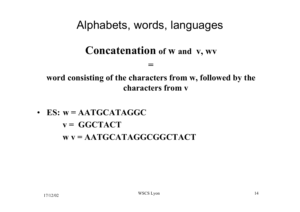**Concatenation of w and v, wv**

**=**

**word consisting of the characters from w, followed by the characters from v**

• **ES: w = AATGCATAGGC v = GGCTACT w v = AATGCATAGGCGGCTACT**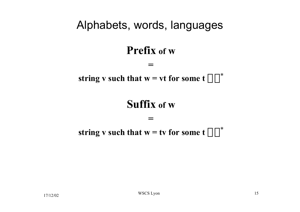#### **Prefix of w**

#### string v such that  $w = vt$  for some  $t \in \sum^*$

**=**

#### **Suffix of w**

#### **=**

#### **string v such that w = tv for some**  $t \in \Sigma^*$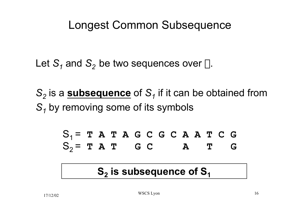### Longest Common Subsequence

Let  $S_1$  and  $S_2$  be two sequences over  $\Sigma$ .

*S*<sub>2</sub> is a **subsequence** of S<sub>1</sub> if it can be obtained from *S1* by removing some of its symbols

$$
S_1 = T A T A G C G C A A T C G
$$
  

$$
S_2 = T A T G C A T G
$$

#### **S<sub>2</sub>** is subsequence of S<sub>1</sub>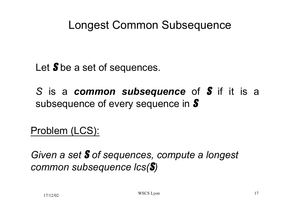# Longest Common Subsequence

Let **S** be a set of sequences.

*S* is a *common subsequence* of S if it is a subsequence of every sequence in **S** 

Problem (LCS):

*Given a set* S *of sequences, compute a longest common subsequence lcs(*S*)*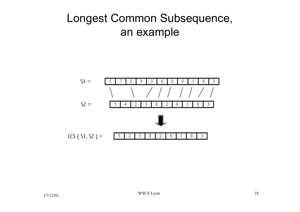# Longest Common Subsequence, an example

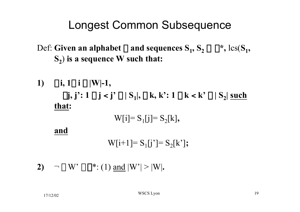### Longest Common Subsequence

Def: Given an alphabet  $\Sigma$  and sequences  $S_1, S_2 \in \Sigma^*$ ,  $\text{lcs}(S_1, S_2)$ **S2**) **is a sequence W such that:**

1) 
$$
\forall i, 1 \le i \le |W|-1,
$$
  
\n $\exists j, j': 1 \le j < j' \le |S_1|, \exists k, k': 1 \le k < k' \le |S_2| \text{ such that:}$   
\n $W[i] = S_1[j] = S_2[k],$ 

**and**

 $W[i+1] = S_{1}[i'] = S_{2}[k']$ ;

**2)**  $\neg$  **3** W'  $\in \mathbb{Z}^*$ : (1) and  $|W'| > |W|$ .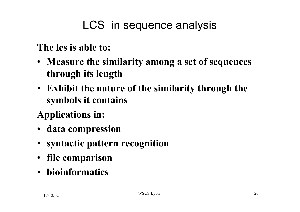# LCS in sequence analysis

**The lcs is able to:**

- **Measure the similarity among a set of sequences through its length**
- **Exhibit the nature of the similarity through the symbols it contains**
- **Applications in:**
- **data compression**
- **syntactic pattern recognition**
- **file comparison**
- **bioinformatics**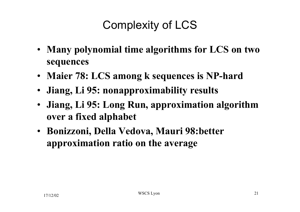# Complexity of LCS

- **Many polynomial time algorithms for LCS on two sequences**
- **Maier 78: LCS among k sequences is NP-hard**
- **Jiang, Li 95: nonapproximability results**
- **Jiang, Li 95: Long Run, approximation algorithm over a fixed alphabet**
- **Bonizzoni, Della Vedova, Mauri 98:better approximation ratio on the average**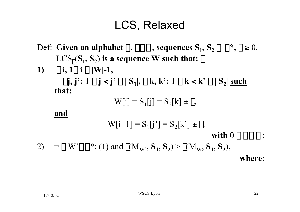# LCS, Relaxed

- Def: Given an alphabet  $\Sigma$ ,  $\Sigma \subset N$ , sequences  $S_1$ ,  $S_2 \in \Sigma^*$ ,  $\delta \ge 0$ ,  $LCS_{\delta}(S_1, S_2)$  is a sequence W such that:  $\delta$
- 1)  $\forall i, 1 \le i \le |W|-1,$  $\exists j, j': 1 \le j \le j' \le |S_1|, \exists k, k': 1 \le k \le k' \le |S_2|$  such **that:**

$$
W[i] = S_1[j] = S_2[k] \pm \varepsilon,
$$

**and**

$$
W[i+1] = S_1[j'] = S_2[k'] \pm \varepsilon,
$$
  
with  $0 \le \varepsilon \le \delta$ ;  
2)  $\neg \exists W' \in \Sigma^* : (1) \text{ and } \gamma(M_W, S_1, S_2) > \gamma(M_W, S_1, S_2),$   
where: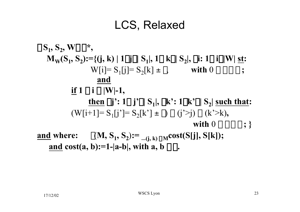# LCS, Relaxed

$$
\forall S_1, S_2, W \in \Sigma^*,
$$
  
\n
$$
M_W(S_1, S_2) := \{(j, k) \mid 1 \le j \le |S_1|, 1 \le k \le |S_2|, \exists i : 1 \le i \le |W| \le t : W[i] = S_1[j] = S_2[k] \pm \epsilon, \qquad \text{with } 0 \le \epsilon \le \delta ;
$$
  
\n
$$
\underline{\text{and}}
$$
  
\n
$$
\underline{\text{if } 1 \le i \le |W|-1},
$$
  
\n
$$
\underline{\text{then }} \exists j': 1 \le j' \le |S_1|, \exists k': 1 \le k' \le |S_2| \text{ such that:}
$$
  
\n
$$
(W[i+1] = S_1[j'] = S_2[k'] \pm \epsilon) \land (j' > j) \land (k' > k),
$$
  
\n
$$
\underline{\text{with } 0 \le \epsilon \le \delta ;}
$$
  
\n
$$
\underline{\text{and where:}} \quad \gamma(M, S_1, S_2) :=_{-(j, k) \in M} \text{cost}(S[j], S[k]);
$$
  
\n
$$
\underline{\text{and } \text{cost}(a, b) := 1 - |a - b|, \text{ with } a, b \in \Sigma.
$$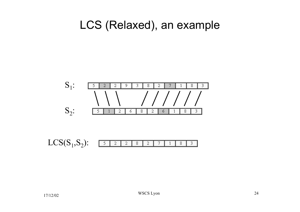#### LCS (Relaxed), an example

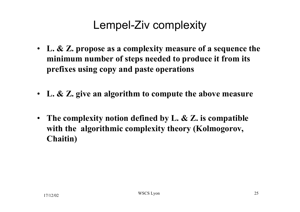# Lempel-Ziv complexity

- **L. & Z. propose as a complexity measure of a sequence the minimum number of steps needed to produce it from its prefixes using copy and paste operations**
- **L. & Z. give an algorithm to compute the above measure**
- **The complexity notion defined by L. & Z. is compatible with the algorithmic complexity theory (Kolmogorov, Chaitin)**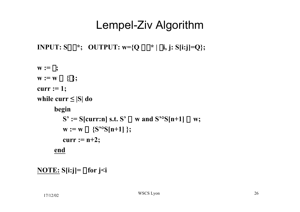# Lempel-Ziv Algorithm

```
INPUT: S \in \Sigma^*; OUTPUT: w = \{Q \in \Sigma^* | \exists i, j: S[i:j] = Q\};\
```

```
\mathbf{w} := \phi;\mathbf{w} := \mathbf{w} \cup \{\epsilon\};curr := 1;
while curr ≤ |S| do
        begin
            S' := S[curr:n] s.t. S' \in w and S^oS[n+1] \notin w;
            w := w \cup \{S^{\infty}S[n+1]\};curr := n+2;
        end
```

```
NOTE: S[i:j]= e for j<i
```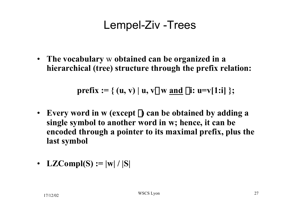# Lempel-Ziv -Trees

• **The vocabulary** w **obtained can be organized in a hierarchical (tree) structure through the prefix relation:**

**prefix :=** { (u, v) | u, v∈w and  $\exists i:$  u=v[1:i] };

- **Every word in w (except** e**) can be obtained by adding a single symbol to another word in w; hence, it can be encoded through a pointer to its maximal prefix, plus the last symbol**
- **LZCompl(S)** :=  $|w| / |S|$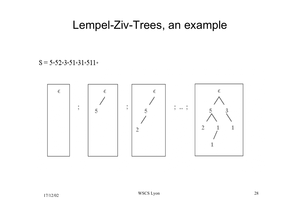#### Lempel-Ziv-Trees, an example

#### $S = 5.52.3.51.31.511.$

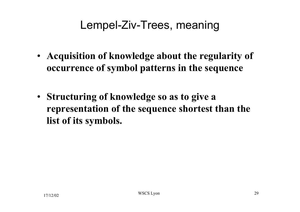# Lempel-Ziv-Trees, meaning

- **Acquisition of knowledge about the regularity of occurrence of symbol patterns in the sequence**
- **Structuring of knowledge so as to give a representation of the sequence shortest than the list of its symbols.**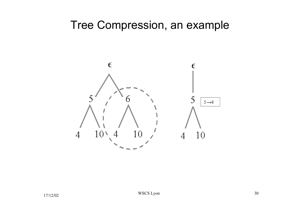#### Tree Compression, an example

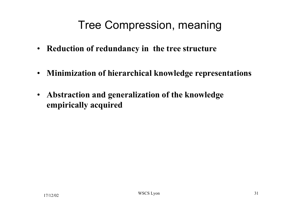# Tree Compression, meaning

- **Reduction of redundancy in the tree structure**
- **Minimization of hierarchical knowledge representations**
- **Abstraction and generalization of the knowledge empirically acquired**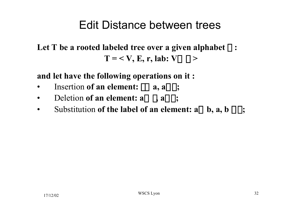### Edit Distance between trees

#### Let T be a rooted labeled tree over a given alphabet  $\Sigma$  :  $T = \langle V, E, r, \text{lab: } V \rightarrow \Sigma \rangle$

**and let have the following operations on it :**

- Insertion of an element:  $\varepsilon \rightarrow a$ ,  $a \in \Sigma$ ;
- Deletion of an element:  $a \rightarrow \varepsilon$ ,  $a \in \Sigma$ ;
- Substitution of the label of an element:  $a \rightarrow b$ ,  $a, b \in \Sigma$ ;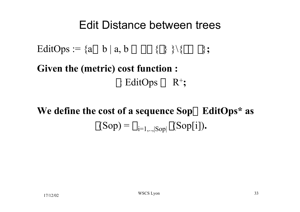#### Edit Distance between trees

EditOps :=  $\{a \rightarrow b \mid a, b \in \Sigma \cup \{\epsilon\} \ \} \$ 

**Given the (metric) cost function :**  $\gamma$ : EditOps  $\rightarrow$  R<sup>+</sup>;

# **We define the cost of a sequence Sop∈ EditOps\* as**  $\gamma(Sop) = \sum_{i=1,...|Sop|} \gamma(Sop[i]).$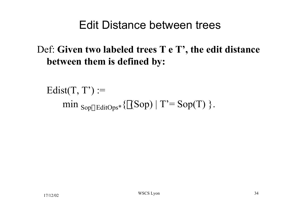### Edit Distance between trees

#### Def: **Given two labeled trees T e T', the edit distance between them is defined by:**

 $Edit( T, T') :=$ min  $_{\text{Sop}\in \text{EditOps}^*}$  { $\gamma(\text{Sop})$  | T'=  $\text{Sop}(T)$  }.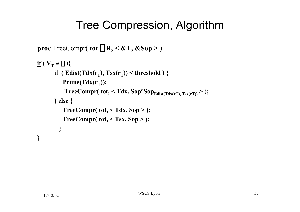# Tree Compression, Algorithm

```
proc TreeCompr( tot \in \mathbb{R}, < &T, &Sop > ) :
\mathbf{if}(\mathbf{V}_T \neq \phi)<u>if</u> ( Edist(Tdx(r_T), Tsx(r_T)) < threshold ) {
           Prune(Tdx(r_T));TreeCompr( tot, < Tdx, Sop^oSop_{Edist(Tdx(rT), Tsx(rT))} > );
       } else {
           TreeCompr( tot, < Tdx, Sop > );
           TreeCompr( tot, < Tsx, Sop > );
          }
}
```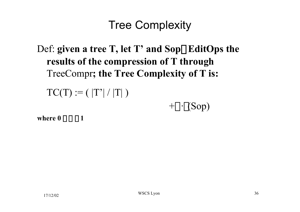# Tree Complexity

# Def: given a tree T, let T' and Sop**EE**ditOps the **results of the compression of T through** TreeCompr**; the Tree Complexity of T is:**

 $TC(T) := ( |T'| / |T| )$ 

 $+\alpha \cdot \gamma(Sop)$ 

where  $0 \leq \alpha \leq 1$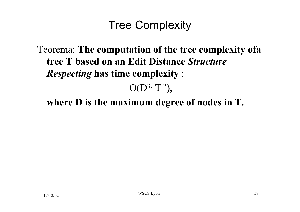# Tree Complexity

Teorema: **The computation of the tree complexity ofa tree T based on an Edit Distance** *Structure Respecting* **has time complexity** :  $O(D^3 \cdot |T|^2)$ ,

**where D is the maximum degree of nodes in T.**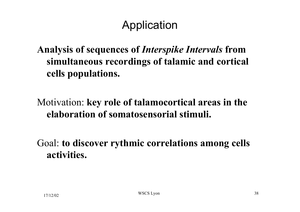# Application

#### **Analysis of sequences of** *Interspike Intervals* **from simultaneous recordings of talamic and cortical cells populations.**

#### Motivation: **key role of talamocortical areas in the elaboration of somatosensorial stimuli.**

Goal: **to discover rythmic correlations among cells activities.**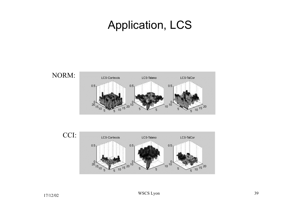# Application, LCS





17/12/02 WSCS Lyon 39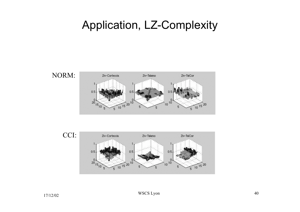### Application, LZ-Complexity



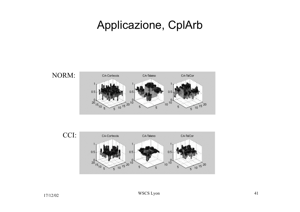### Applicazione, CplArb





17/12/02 WSCS Lyon 41